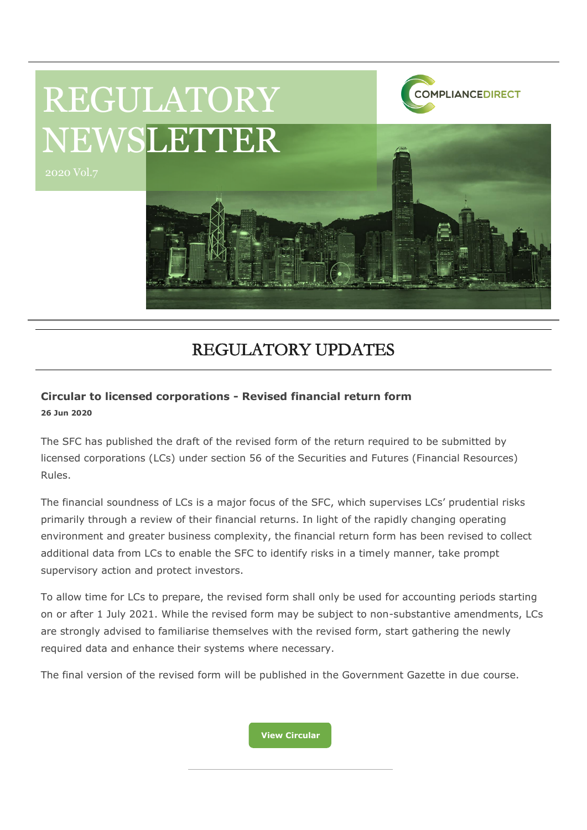

# REGULATORY UPDATES

### **Circular to licensed corporations - Revised financial return form 26 Jun 2020**

2020 Vol.7

The SFC has published the draft of the revised form of the return required to be submitted by licensed corporations (LCs) under section 56 of the Securities and Futures (Financial Resources) Rules.

The financial soundness of LCs is a major focus of the SFC, which supervises LCs' prudential risks primarily through a review of their financial returns. In light of the rapidly changing operating environment and greater business complexity, the financial return form has been revised to collect additional data from LCs to enable the SFC to identify risks in a timely manner, take prompt supervisory action and protect investors.

To allow time for LCs to prepare, the revised form shall only be used for accounting periods starting on or after 1 July 2021. While the revised form may be subject to non-substantive amendments, LCs are strongly advised to familiarise themselves with the revised form, start gathering the newly required data and enhance their systems where necessary.

The final version of the revised form will be published in the Government Gazette in due course.

**[View Circular](https://www.sfc.hk/edistributionWeb/gateway/EN/circular/intermediaries/supervision/doc?refNo=20EC47)**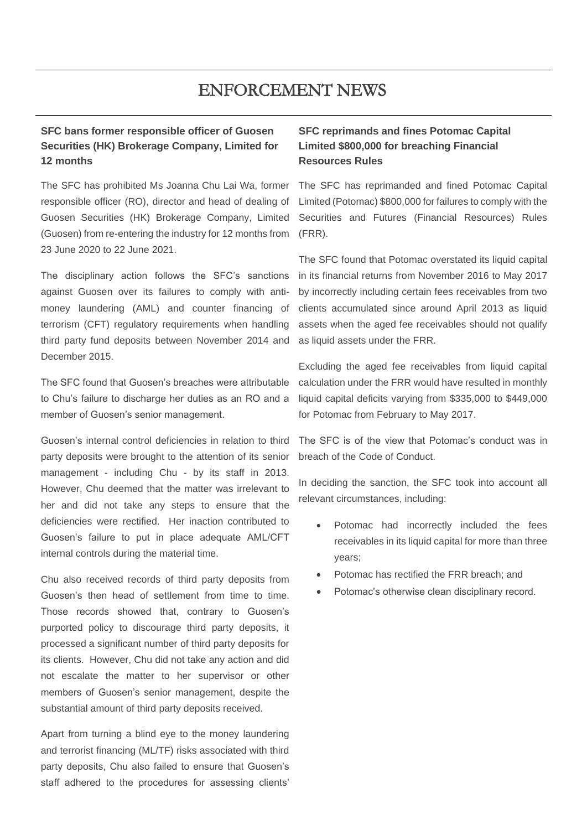## ENFORCEMENT NEWS

### **SFC bans former responsible officer of Guosen Securities (HK) Brokerage Company, Limited for 12 months**

The SFC has prohibited Ms Joanna Chu Lai Wa, former responsible officer (RO), director and head of dealing of Guosen Securities (HK) Brokerage Company, Limited (Guosen) from re-entering the industry for 12 months from 23 June 2020 to 22 June 2021.

The disciplinary action follows the SFC's sanctions against Guosen over its failures to comply with antimoney laundering (AML) and counter financing of terrorism (CFT) regulatory requirements when handling third party fund deposits between November 2014 and December 2015.

The SFC found that Guosen's breaches were attributable to Chu's failure to discharge her duties as an RO and a member of Guosen's senior management.

Guosen's internal control deficiencies in relation to third party deposits were brought to the attention of its senior management - including Chu - by its staff in 2013. However, Chu deemed that the matter was irrelevant to her and did not take any steps to ensure that the deficiencies were rectified. Her inaction contributed to Guosen's failure to put in place adequate AML/CFT internal controls during the material time.

Chu also received records of third party deposits from Guosen's then head of settlement from time to time. Those records showed that, contrary to Guosen's purported policy to discourage third party deposits, it processed a significant number of third party deposits for its clients. However, Chu did not take any action and did not escalate the matter to her supervisor or other members of Guosen's senior management, despite the substantial amount of third party deposits received.

Apart from turning a blind eye to the money laundering and terrorist financing (ML/TF) risks associated with third party deposits, Chu also failed to ensure that Guosen's staff adhered to the procedures for assessing clients'

### **SFC reprimands and fines Potomac Capital Limited \$800,000 for breaching Financial Resources Rules**

The SFC has reprimanded and fined Potomac Capital Limited (Potomac) \$800,000 for failures to comply with the Securities and Futures (Financial Resources) Rules (FRR).

The SFC found that Potomac overstated its liquid capital in its financial returns from November 2016 to May 2017 by incorrectly including certain fees receivables from two clients accumulated since around April 2013 as liquid assets when the aged fee receivables should not qualify as liquid assets under the FRR.

Excluding the aged fee receivables from liquid capital calculation under the FRR would have resulted in monthly liquid capital deficits varying from \$335,000 to \$449,000 for Potomac from February to May 2017.

The SFC is of the view that Potomac's conduct was in breach of the Code of Conduct.

In deciding the sanction, the SFC took into account all relevant circumstances, including:

- Potomac had incorrectly included the fees receivables in its liquid capital for more than three years;
- Potomac has rectified the FRR breach; and
- Potomac's otherwise clean disciplinary record.